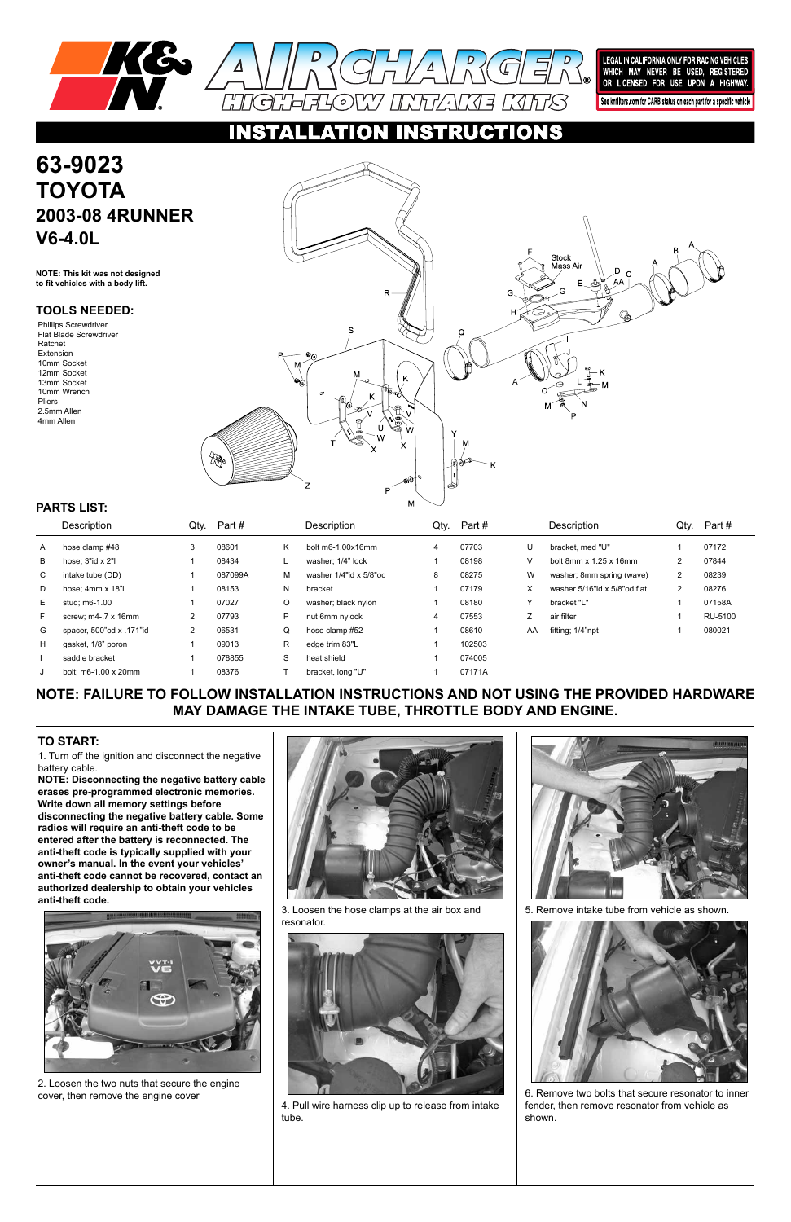



LEGAL IN CALIFORNIA ONLY FOR RACING VEHICLES WHICH MAY NEVER BE USED, REGISTERED<br>OR LICENSED FOR USE UPON A HIGHWAY.

See knfilters.com for CARB status on each part for a specific vehicle

**STRUCTIONS**  $\bullet$ 

**NOTE: FAILURE TO FOLLOW INSTALLATION INSTRUCTIONS AND NOT USING THE PROVIDED HARDWARE MAY DAMAGE THE INTAKE TUBE, THROTTLE BODY AND ENGINE.**

1. Turn off the ignition and disconnect the negative battery cable.

# **63-9023 TOYOTA 2003-08 4RUNNER V6-4.0L**

**NOTE: Disconnecting the negative battery cable erases pre-programmed electronic memories. Write down all memory settings before disconnecting the negative battery cable. Some radios will require an anti-theft code to be entered after the battery is reconnected. The anti-theft code is typically supplied with your owner's manual. In the event your vehicles' anti-theft code cannot be recovered, contact an authorized dealership to obtain your vehicles** 





### **anti-theft code.**



### **TO START:**

**NOTE: This kit was not designed to fit vehicles with a body lift.**

|    | Description                  | Qty.           | Part #  |    | Description            | Qty. | Part#  |    | Description                          | Qty. | Part #  |
|----|------------------------------|----------------|---------|----|------------------------|------|--------|----|--------------------------------------|------|---------|
| A  | hose clamp #48               | 3              | 08601   | Κ  | bolt m6-1.00x16mm      | 4    | 07703  | U  | bracket. med "U"                     |      | 07172   |
| В  | hose: $3"$ id x $2"$ l       |                | 08434   |    | washer: 1/4" lock      |      | 08198  | V  | bolt 8mm $\times$ 1.25 $\times$ 16mm |      | 07844   |
| C  | intake tube (DD)             |                | 087099A | м  | washer 1/4"id x 5/8"od | 8    | 08275  | W  | washer; 8mm spring (wave)            | 2    | 08239   |
| D  | hose; $4mm \times 18"$       |                | 08153   | N. | bracket                |      | 07179  | х  | washer 5/16"id x 5/8"od flat         |      | 08276   |
| E. | stud; m6-1.00                |                | 07027   | O  | washer; black nylon    |      | 08180  | Y  | bracket "L"                          |      | 07158A  |
| F  | screw: $m4 - 7 \times 16$ mm | 2              | 07793   | P  | nut 6mm nylock         | 4    | 07553  |    | air filter                           |      | RU-5100 |
| G  | spacer, 500"od x .171"id     | $\overline{2}$ | 06531   | Q  | hose clamp #52         |      | 08610  | AA | fitting; 1/4"npt                     |      | 080021  |
| H  | gasket, 1/8" poron           |                | 09013   | R  | edge trim 83"L         |      | 102503 |    |                                      |      |         |
|    | saddle bracket               |                | 078855  | S  | heat shield            |      | 074005 |    |                                      |      |         |
|    | bolt: m6-1.00 x 20mm         |                | 08376   |    | bracket, long "U"      |      | 07171A |    |                                      |      |         |

## **PARTS LIST:**

### **TOOLS NEEDED:**

Phillips Screwdriver Flat Blade Screwdriver Ratchet Extension 10mm Socket 12mm Socket 13mm Socket 10mm Wrench Pliers 2.5mm Allen 4mm Allen



2. Loosen the two nuts that secure the engine cover, then remove the engine cover

3. Loosen the hose clamps at the air box and resonator.



4. Pull wire harness clip up to release from intake tube.

5. Remove intake tube from vehicle as shown.



6. Remove two bolts that secure resonator to inner fender, then remove resonator from vehicle as shown.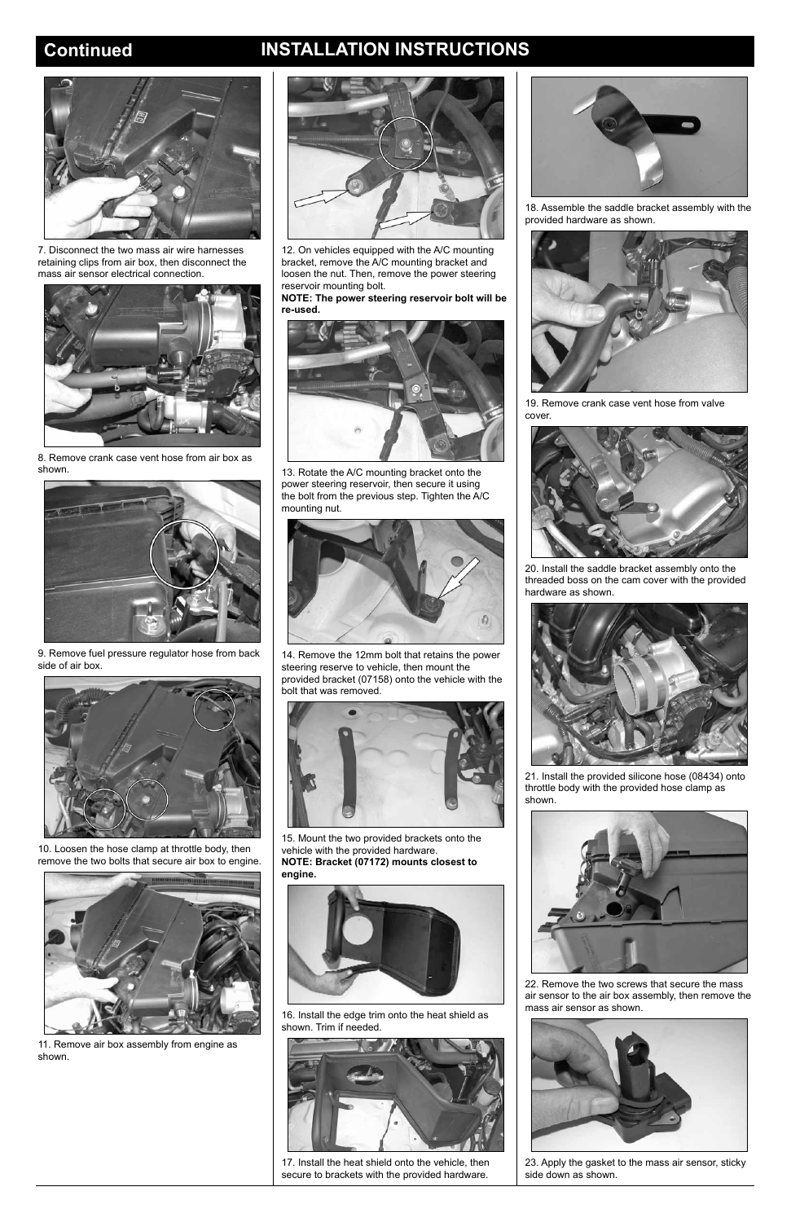# **Continued INSTALLATION INSTRUCTIONS**



7. Disconnect the two mass air wire harnesses retaining clips from air box, then disconnect the mass air sensor electrical connection.



8. Remove crank case vent hose from air box as shown.



9. Remove fuel pressure regulator hose from back side of air box.



10. Loosen the hose clamp at throttle body, then remove the two bolts that secure air box to engine.



11. Remove air box assembly from engine as shown.



12. On vehicles equipped with the A/C mounting bracket, remove the A/C mounting bracket and loosen the nut. Then, remove the power steering reservoir mounting bolt.

**NOTE: The power steering reservoir bolt will be re-used.**



13. Rotate the A/C mounting bracket onto the power steering reservoir, then secure it using the bolt from the previous step. Tighten the A/C mounting nut.



14. Remove the 12mm bolt that retains the power steering reserve to vehicle, then mount the provided bracket (07158) onto the vehicle with the bolt that was removed.



15. Mount the two provided brackets onto the vehicle with the provided hardware. **NOTE: Bracket (07172) mounts closest to engine.**



16. Install the edge trim onto the heat shield as shown. Trim if needed.



17. Install the heat shield onto the vehicle, then secure to brackets with the provided hardware.

18. Assemble the saddle bracket assembly with the provided hardware as shown.



19. Remove crank case vent hose from valve cover.



20. Install the saddle bracket assembly onto the threaded boss on the cam cover with the provided hardware as shown.



21. Install the provided silicone hose (08434) onto throttle body with the provided hose clamp as shown.





22. Remove the two screws that secure the mass air sensor to the air box assembly, then remove the mass air sensor as shown.



23. Apply the gasket to the mass air sensor, sticky side down as shown.